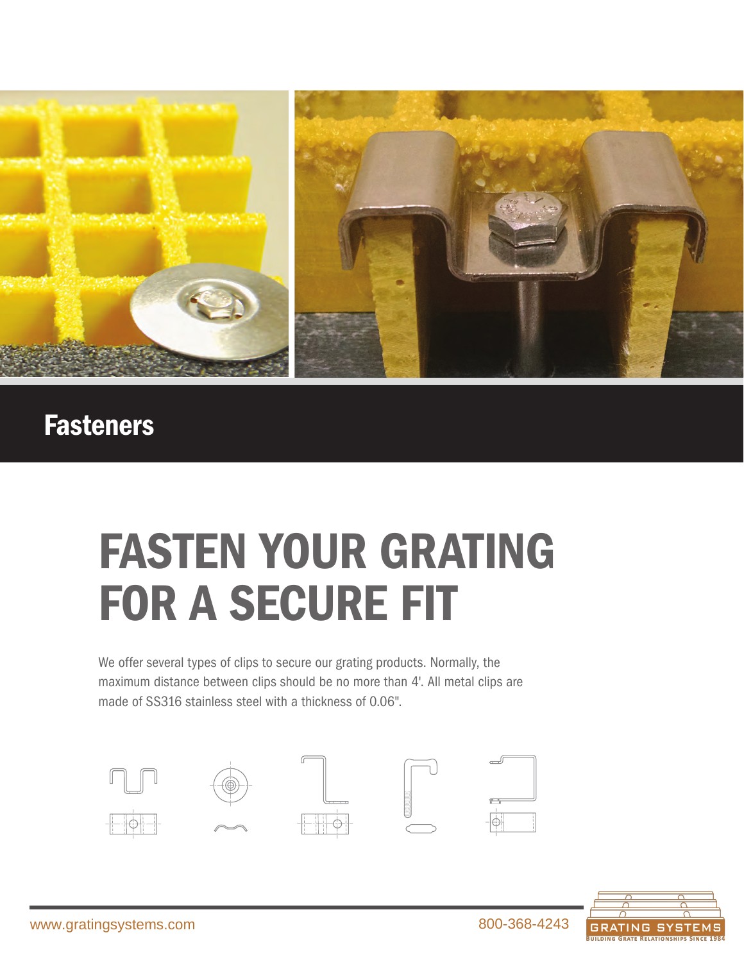

# **Fasteners**

# FASTEN YOUR GRATING FOR A SECURE FIT

We offer several types of clips to secure our grating products. Normally, the maximum distance between clips should be no more than 4'. All metal clips are made of SS316 stainless steel with a thickness of 0.06".





*SUPPORT BA PULTRUDED GRATING R*